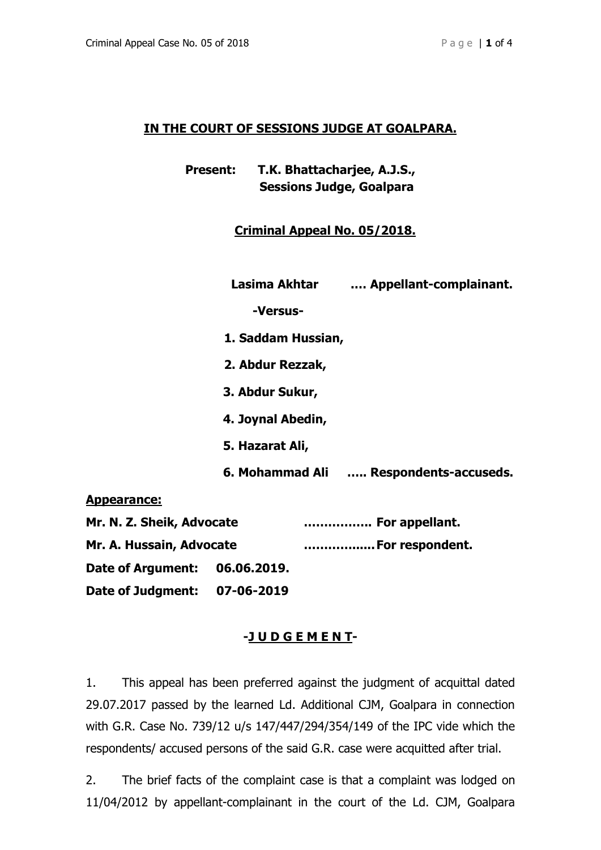## **IN THE COURT OF SESSIONS JUDGE AT GOALPARA.**

| <b>Present:</b> | T.K. Bhattacharjee, A.J.S.,     |  |  |
|-----------------|---------------------------------|--|--|
|                 | <b>Sessions Judge, Goalpara</b> |  |  |

# **Criminal Appeal No. 05/2018.**

|                           | Lasima Akhtar      | Appellant-complainant.                 |
|---------------------------|--------------------|----------------------------------------|
|                           | -Versus-           |                                        |
|                           | 1. Saddam Hussian, |                                        |
|                           | 2. Abdur Rezzak,   |                                        |
|                           | 3. Abdur Sukur,    |                                        |
|                           | 4. Joynal Abedin,  |                                        |
|                           | 5. Hazarat Ali,    |                                        |
|                           |                    | 6. Mohammad Ali  Respondents-accuseds. |
| <b>Appearance:</b>        |                    |                                        |
| Mr. N. Z. Sheik, Advocate |                    | For appellant.                         |
| Mr. A. Hussain, Advocate  |                    | For respondent.                        |
| Date of Argument:         | 06.06.2019.        |                                        |

**Date of Judgment: 07-06-2019** 

### **-J U D G E M E N T-**

1. This appeal has been preferred against the judgment of acquittal dated 29.07.2017 passed by the learned Ld. Additional CJM, Goalpara in connection with G.R. Case No. 739/12 u/s 147/447/294/354/149 of the IPC vide which the respondents/ accused persons of the said G.R. case were acquitted after trial.

2. The brief facts of the complaint case is that a complaint was lodged on 11/04/2012 by appellant-complainant in the court of the Ld. CJM, Goalpara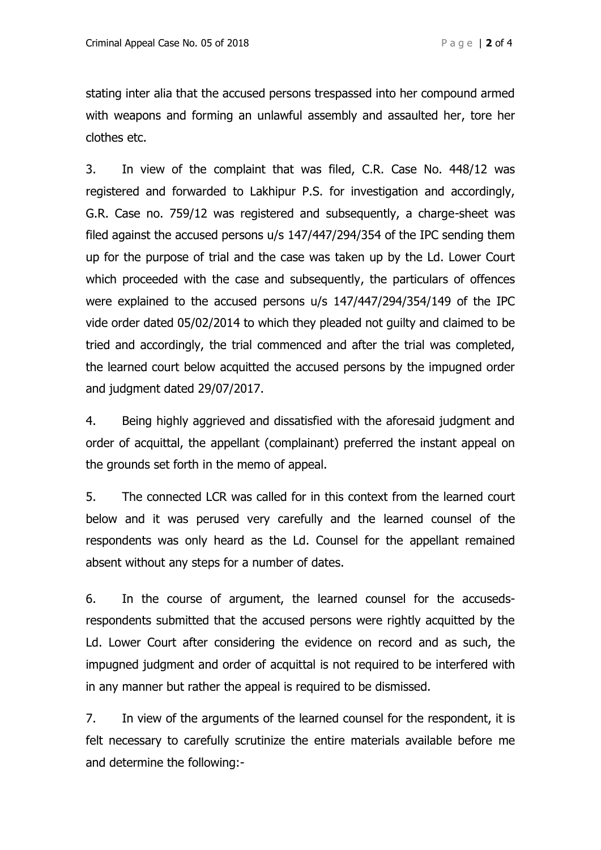stating inter alia that the accused persons trespassed into her compound armed with weapons and forming an unlawful assembly and assaulted her, tore her clothes etc.

3. In view of the complaint that was filed, C.R. Case No. 448/12 was registered and forwarded to Lakhipur P.S. for investigation and accordingly, G.R. Case no. 759/12 was registered and subsequently, a charge-sheet was filed against the accused persons u/s 147/447/294/354 of the IPC sending them up for the purpose of trial and the case was taken up by the Ld. Lower Court which proceeded with the case and subsequently, the particulars of offences were explained to the accused persons u/s 147/447/294/354/149 of the IPC vide order dated 05/02/2014 to which they pleaded not guilty and claimed to be tried and accordingly, the trial commenced and after the trial was completed, the learned court below acquitted the accused persons by the impugned order and judgment dated 29/07/2017.

4. Being highly aggrieved and dissatisfied with the aforesaid judgment and order of acquittal, the appellant (complainant) preferred the instant appeal on the grounds set forth in the memo of appeal.

5. The connected LCR was called for in this context from the learned court below and it was perused very carefully and the learned counsel of the respondents was only heard as the Ld. Counsel for the appellant remained absent without any steps for a number of dates.

6. In the course of argument, the learned counsel for the accusedsrespondents submitted that the accused persons were rightly acquitted by the Ld. Lower Court after considering the evidence on record and as such, the impugned judgment and order of acquittal is not required to be interfered with in any manner but rather the appeal is required to be dismissed.

7. In view of the arguments of the learned counsel for the respondent, it is felt necessary to carefully scrutinize the entire materials available before me and determine the following:-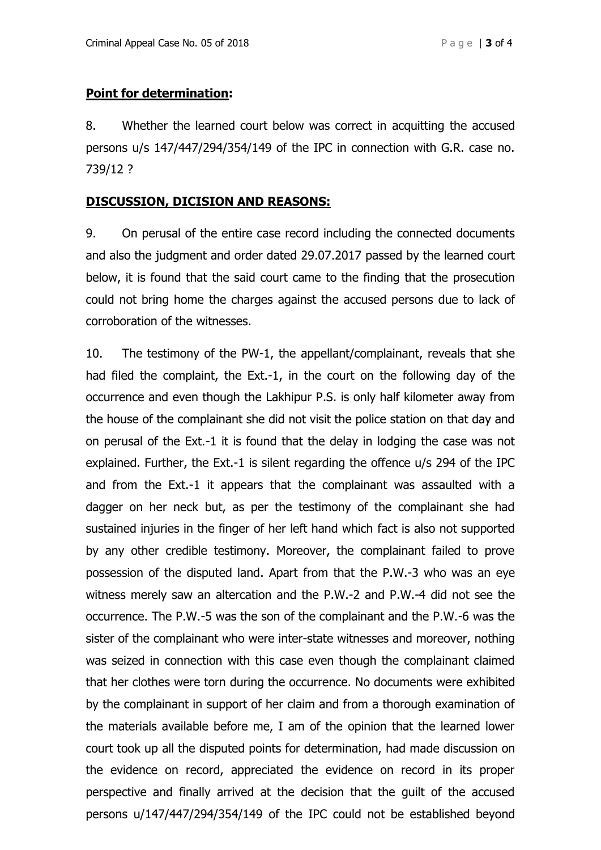## **Point for determination:**

8. Whether the learned court below was correct in acquitting the accused persons u/s 147/447/294/354/149 of the IPC in connection with G.R. case no. 739/12 ?

## **DISCUSSION, DICISION AND REASONS:**

9. On perusal of the entire case record including the connected documents and also the judgment and order dated 29.07.2017 passed by the learned court below, it is found that the said court came to the finding that the prosecution could not bring home the charges against the accused persons due to lack of corroboration of the witnesses.

10. The testimony of the PW-1, the appellant/complainant, reveals that she had filed the complaint, the Ext.-1, in the court on the following day of the occurrence and even though the Lakhipur P.S. is only half kilometer away from the house of the complainant she did not visit the police station on that day and on perusal of the Ext.-1 it is found that the delay in lodging the case was not explained. Further, the Ext.-1 is silent regarding the offence u/s 294 of the IPC and from the Ext.-1 it appears that the complainant was assaulted with a dagger on her neck but, as per the testimony of the complainant she had sustained injuries in the finger of her left hand which fact is also not supported by any other credible testimony. Moreover, the complainant failed to prove possession of the disputed land. Apart from that the P.W.-3 who was an eye witness merely saw an altercation and the P.W.-2 and P.W.-4 did not see the occurrence. The P.W.-5 was the son of the complainant and the P.W.-6 was the sister of the complainant who were inter-state witnesses and moreover, nothing was seized in connection with this case even though the complainant claimed that her clothes were torn during the occurrence. No documents were exhibited by the complainant in support of her claim and from a thorough examination of the materials available before me, I am of the opinion that the learned lower court took up all the disputed points for determination, had made discussion on the evidence on record, appreciated the evidence on record in its proper perspective and finally arrived at the decision that the guilt of the accused persons u/147/447/294/354/149 of the IPC could not be established beyond